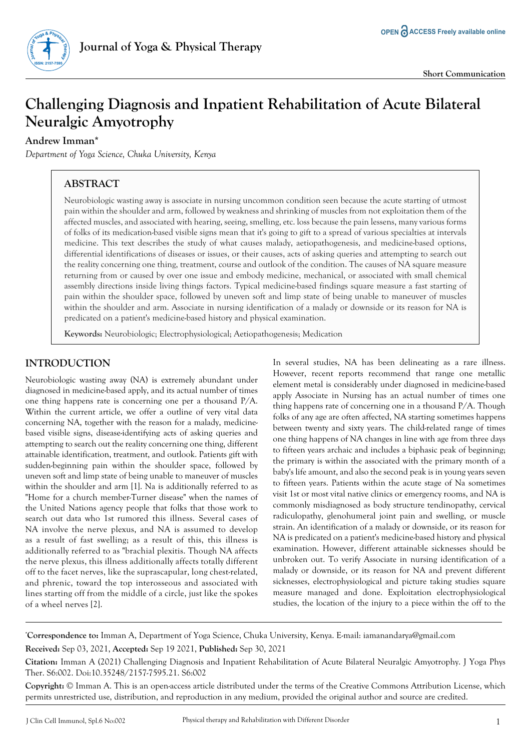

# **Challenging Diagnosis and Inpatient Rehabilitation of Acute Bilateral Neuralgic Amyotrophy**

#### **Andrew Imman\***

*Department of Yoga Science, Chuka University, Kenya*

## **ABSTRACT**

Neurobiologic wasting away is associate in nursing uncommon condition seen because the acute starting of utmost pain within the shoulder and arm, followed by weakness and shrinking of muscles from not exploitation them of the affected muscles, and associated with hearing, seeing, smelling, etc. loss because the pain lessens, many various forms of folks of its medication-based visible signs mean that it's going to gift to a spread of various specialties at intervals medicine. This text describes the study of what causes malady, aetiopathogenesis, and medicine-based options, differential identifications of diseases or issues, or their causes, acts of asking queries and attempting to search out the reality concerning one thing, treatment, course and outlook of the condition. The causes of NA square measure returning from or caused by over one issue and embody medicine, mechanical, or associated with small chemical assembly directions inside living things factors. Typical medicine-based findings square measure a fast starting of pain within the shoulder space, followed by uneven soft and limp state of being unable to maneuver of muscles within the shoulder and arm. Associate in nursing identification of a malady or downside or its reason for NA is predicated on a patient's medicine-based history and physical examination.

**Keywords:** Neurobiologic; Electrophysiological; Aetiopathogenesis; Medication

### **INTRODUCTION**

Neurobiologic wasting away (NA) is extremely abundant under diagnosed in medicine-based apply, and its actual number of times one thing happens rate is concerning one per a thousand P/A. Within the current article, we offer a outline of very vital data concerning NA, together with the reason for a malady, medicinebased visible signs, disease-identifying acts of asking queries and attempting to search out the reality concerning one thing, different attainable identification, treatment, and outlook. Patients gift with sudden-beginning pain within the shoulder space, followed by uneven soft and limp state of being unable to maneuver of muscles within the shoulder and arm [1]. Na is additionally referred to as "Home for a church member-Turner disease" when the names of the United Nations agency people that folks that those work to search out data who 1st rumored this illness. Several cases of NA involve the nerve plexus, and NA is assumed to develop as a result of fast swelling; as a result of this, this illness is additionally referred to as "brachial plexitis. Though NA affects the nerve plexus, this illness additionally affects totally different off to the facet nerves, like the suprascapular, long chest-related, and phrenic, toward the top interosseous and associated with lines starting off from the middle of a circle, just like the spokes of a wheel nerves [2].

In several studies, NA has been delineating as a rare illness. However, recent reports recommend that range one metallic element metal is considerably under diagnosed in medicine-based apply Associate in Nursing has an actual number of times one thing happens rate of concerning one in a thousand P/A. Though folks of any age are often affected, NA starting sometimes happens between twenty and sixty years. The child-related range of times one thing happens of NA changes in line with age from three days to fifteen years archaic and includes a biphasic peak of beginning; the primary is within the associated with the primary month of a baby's life amount, and also the second peak is in young years seven to fifteen years. Patients within the acute stage of Na sometimes visit 1st or most vital native clinics or emergency rooms, and NA is commonly misdiagnosed as body structure tendinopathy, cervical radiculopathy, glenohumeral joint pain and swelling, or muscle strain. An identification of a malady or downside, or its reason for NA is predicated on a patient's medicine-based history and physical examination. However, different attainable sicknesses should be unbroken out. To verify Associate in nursing identification of a malady or downside, or its reason for NA and prevent different sicknesses, electrophysiological and picture taking studies square measure managed and done. Exploitation electrophysiological studies, the location of the injury to a piece within the off to the

**\* Correspondence to:** Imman A, Department of Yoga Science, Chuka University, Kenya. E-mail: iamanandarya@gmail.com **Received:** Sep 03, 2021, **Accepted:** Sep 19 2021, **Published:** Sep 30, 2021

**Copyright:** © Imman A. This is an open-access article distributed under the terms of the Creative Commons Attribution License, which permits unrestricted use, distribution, and reproduction in any medium, provided the original author and source are credited.

**Citation:** Imman A (2021) Challenging Diagnosis and Inpatient Rehabilitation of Acute Bilateral Neuralgic Amyotrophy. J Yoga Phys Ther. S6:002. Doi:10.35248/2157-7595.21. S6:002